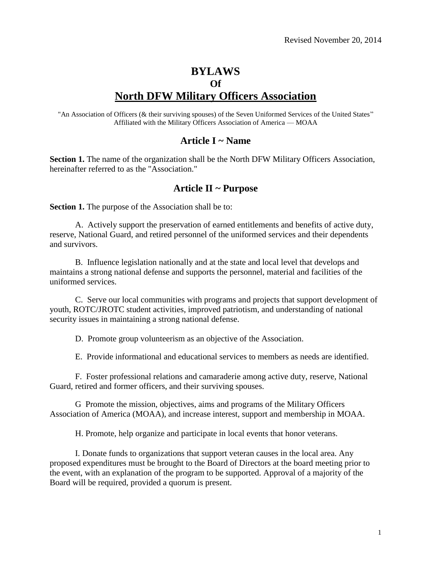# **BYLAWS Of North DFW Military Officers Association**

"An Association of Officers (& their surviving spouses) of the Seven Uniformed Services of the United States" Affiliated with the Military Officers Association of America — MOAA

#### **Article I ~ Name**

**Section 1.** The name of the organization shall be the North DFW Military Officers Association, hereinafter referred to as the "Association."

#### **Article II ~ Purpose**

**Section 1.** The purpose of the Association shall be to:

A. Actively support the preservation of earned entitlements and benefits of active duty, reserve, National Guard, and retired personnel of the uniformed services and their dependents and survivors.

B. Influence legislation nationally and at the state and local level that develops and maintains a strong national defense and supports the personnel, material and facilities of the uniformed services.

C. Serve our local communities with programs and projects that support development of youth, ROTC/JROTC student activities, improved patriotism, and understanding of national security issues in maintaining a strong national defense.

D. Promote group volunteerism as an objective of the Association.

E. Provide informational and educational services to members as needs are identified.

F. Foster professional relations and camaraderie among active duty, reserve, National Guard, retired and former officers, and their surviving spouses.

G Promote the mission, objectives, aims and programs of the Military Officers Association of America (MOAA), and increase interest, support and membership in MOAA.

H. Promote, help organize and participate in local events that honor veterans.

I. Donate funds to organizations that support veteran causes in the local area. Any proposed expenditures must be brought to the Board of Directors at the board meeting prior to the event, with an explanation of the program to be supported. Approval of a majority of the Board will be required, provided a quorum is present.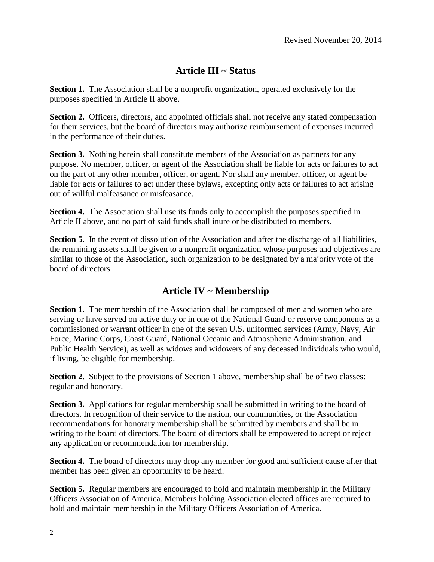## **Article III ~ Status**

**Section 1.** The Association shall be a nonprofit organization, operated exclusively for the purposes specified in Article II above.

Section 2. Officers, directors, and appointed officials shall not receive any stated compensation for their services, but the board of directors may authorize reimbursement of expenses incurred in the performance of their duties.

**Section 3.** Nothing herein shall constitute members of the Association as partners for any purpose. No member, officer, or agent of the Association shall be liable for acts or failures to act on the part of any other member, officer, or agent. Nor shall any member, officer, or agent be liable for acts or failures to act under these bylaws, excepting only acts or failures to act arising out of willful malfeasance or misfeasance.

**Section 4.** The Association shall use its funds only to accomplish the purposes specified in Article II above, and no part of said funds shall inure or be distributed to members.

**Section 5.** In the event of dissolution of the Association and after the discharge of all liabilities, the remaining assets shall be given to a nonprofit organization whose purposes and objectives are similar to those of the Association, such organization to be designated by a majority vote of the board of directors.

### **Article IV ~ Membership**

**Section 1.** The membership of the Association shall be composed of men and women who are serving or have served on active duty or in one of the National Guard or reserve components as a commissioned or warrant officer in one of the seven U.S. uniformed services (Army, Navy, Air Force, Marine Corps, Coast Guard, National Oceanic and Atmospheric Administration, and Public Health Service), as well as widows and widowers of any deceased individuals who would, if living, be eligible for membership.

Section 2. Subject to the provisions of Section 1 above, membership shall be of two classes: regular and honorary.

**Section 3.** Applications for regular membership shall be submitted in writing to the board of directors. In recognition of their service to the nation, our communities, or the Association recommendations for honorary membership shall be submitted by members and shall be in writing to the board of directors. The board of directors shall be empowered to accept or reject any application or recommendation for membership.

**Section 4.** The board of directors may drop any member for good and sufficient cause after that member has been given an opportunity to be heard.

**Section 5.** Regular members are encouraged to hold and maintain membership in the Military Officers Association of America. Members holding Association elected offices are required to hold and maintain membership in the Military Officers Association of America.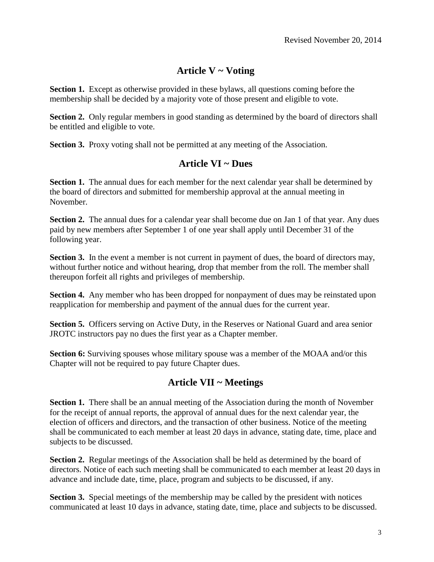# **Article V ~ Voting**

**Section 1.** Except as otherwise provided in these bylaws, all questions coming before the membership shall be decided by a majority vote of those present and eligible to vote.

**Section 2.** Only regular members in good standing as determined by the board of directors shall be entitled and eligible to vote.

**Section 3.** Proxy voting shall not be permitted at any meeting of the Association.

### **Article VI ~ Dues**

**Section 1.** The annual dues for each member for the next calendar year shall be determined by the board of directors and submitted for membership approval at the annual meeting in November.

**Section 2.** The annual dues for a calendar year shall become due on Jan 1 of that year. Any dues paid by new members after September 1 of one year shall apply until December 31 of the following year.

Section 3. In the event a member is not current in payment of dues, the board of directors may, without further notice and without hearing, drop that member from the roll. The member shall thereupon forfeit all rights and privileges of membership.

**Section 4.** Any member who has been dropped for nonpayment of dues may be reinstated upon reapplication for membership and payment of the annual dues for the current year.

**Section 5.** Officers serving on Active Duty, in the Reserves or National Guard and area senior JROTC instructors pay no dues the first year as a Chapter member.

**Section 6:** Surviving spouses whose military spouse was a member of the MOAA and/or this Chapter will not be required to pay future Chapter dues.

### **Article VII ~ Meetings**

**Section 1.** There shall be an annual meeting of the Association during the month of November for the receipt of annual reports, the approval of annual dues for the next calendar year, the election of officers and directors, and the transaction of other business. Notice of the meeting shall be communicated to each member at least 20 days in advance, stating date, time, place and subjects to be discussed.

**Section 2.** Regular meetings of the Association shall be held as determined by the board of directors. Notice of each such meeting shall be communicated to each member at least 20 days in advance and include date, time, place, program and subjects to be discussed, if any.

**Section 3.** Special meetings of the membership may be called by the president with notices communicated at least 10 days in advance, stating date, time, place and subjects to be discussed.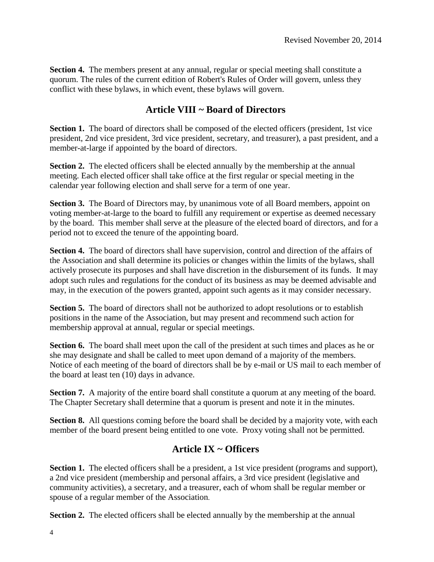**Section 4.** The members present at any annual, regular or special meeting shall constitute a quorum. The rules of the current edition of Robert's Rules of Order will govern, unless they conflict with these bylaws, in which event, these bylaws will govern.

## **Article VIII ~ Board of Directors**

**Section 1.** The board of directors shall be composed of the elected officers (president, 1st vice president, 2nd vice president, 3rd vice president, secretary, and treasurer), a past president, and a member-at-large if appointed by the board of directors.

**Section 2.** The elected officers shall be elected annually by the membership at the annual meeting. Each elected officer shall take office at the first regular or special meeting in the calendar year following election and shall serve for a term of one year.

**Section 3.** The Board of Directors may, by unanimous vote of all Board members, appoint on voting member-at-large to the board to fulfill any requirement or expertise as deemed necessary by the board. This member shall serve at the pleasure of the elected board of directors, and for a period not to exceed the tenure of the appointing board.

**Section 4.** The board of directors shall have supervision, control and direction of the affairs of the Association and shall determine its policies or changes within the limits of the bylaws, shall actively prosecute its purposes and shall have discretion in the disbursement of its funds. It may adopt such rules and regulations for the conduct of its business as may be deemed advisable and may, in the execution of the powers granted, appoint such agents as it may consider necessary.

**Section 5.** The board of directors shall not be authorized to adopt resolutions or to establish positions in the name of the Association, but may present and recommend such action for membership approval at annual, regular or special meetings.

**Section 6.** The board shall meet upon the call of the president at such times and places as he or she may designate and shall be called to meet upon demand of a majority of the members. Notice of each meeting of the board of directors shall be by e-mail or US mail to each member of the board at least ten (10) days in advance.

**Section 7.** A majority of the entire board shall constitute a quorum at any meeting of the board. The Chapter Secretary shall determine that a quorum is present and note it in the minutes.

**Section 8.** All questions coming before the board shall be decided by a majority vote, with each member of the board present being entitled to one vote. Proxy voting shall not be permitted.

### **Article IX ~ Officers**

**Section 1.** The elected officers shall be a president, a 1st vice president (programs and support), a 2nd vice president (membership and personal affairs, a 3rd vice president (legislative and community activities), a secretary, and a treasurer, each of whom shall be regular member or spouse of a regular member of the Association.

**Section 2.** The elected officers shall be elected annually by the membership at the annual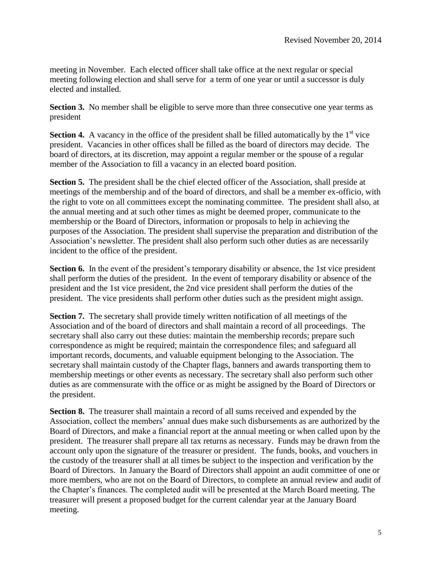meeting in November. Each elected officer shall take office at the next regular or special meeting following election and shall serve for a term of one year or until a successor is duly elected and installed.

**Section 3.** No member shall be eligible to serve more than three consecutive one year terms as president

**Section 4.** A vacancy in the office of the president shall be filled automatically by the  $1<sup>st</sup>$  vice president. Vacancies in other offices shall be filled as the board of directors may decide. The board of directors, at its discretion, may appoint a regular member or the spouse of a regular member of the Association to fill a vacancy in an elected board position.

**Section 5.** The president shall be the chief elected officer of the Association, shall preside at meetings of the membership and of the board of directors, and shall be a member ex-officio, with the right to vote on all committees except the nominating committee. The president shall also, at the annual meeting and at such other times as might be deemed proper, communicate to the membership or the Board of Directors, information or proposals to help in achieving the purposes of the Association. The president shall supervise the preparation and distribution of the Association's newsletter. The president shall also perform such other duties as are necessarily incident to the office of the president.

**Section 6.** In the event of the president's temporary disability or absence, the 1st vice president shall perform the duties of the president. In the event of temporary disability or absence of the president and the 1st vice president, the 2nd vice president shall perform the duties of the president. The vice presidents shall perform other duties such as the president might assign.

**Section 7.** The secretary shall provide timely written notification of all meetings of the Association and of the board of directors and shall maintain a record of all proceedings. The secretary shall also carry out these duties: maintain the membership records; prepare such correspondence as might be required; maintain the correspondence files; and safeguard all important records, documents, and valuable equipment belonging to the Association. The secretary shall maintain custody of the Chapter flags, banners and awards transporting them to membership meetings or other events as necessary. The secretary shall also perform such other duties as are commensurate with the office or as might be assigned by the Board of Directors or the president.

**Section 8.** The treasurer shall maintain a record of all sums received and expended by the Association, collect the members' annual dues make such disbursements as are authorized by the Board of Directors, and make a financial report at the annual meeting or when called upon by the president. The treasurer shall prepare all tax returns as necessary. Funds may be drawn from the account only upon the signature of the treasurer or president. The funds, books, and vouchers in the custody of the treasurer shall at all times be subject to the inspection and verification by the Board of Directors. In January the Board of Directors shall appoint an audit committee of one or more members, who are not on the Board of Directors, to complete an annual review and audit of the Chapter's finances. The completed audit will be presented at the March Board meeting. The treasurer will present a proposed budget for the current calendar year at the January Board meeting.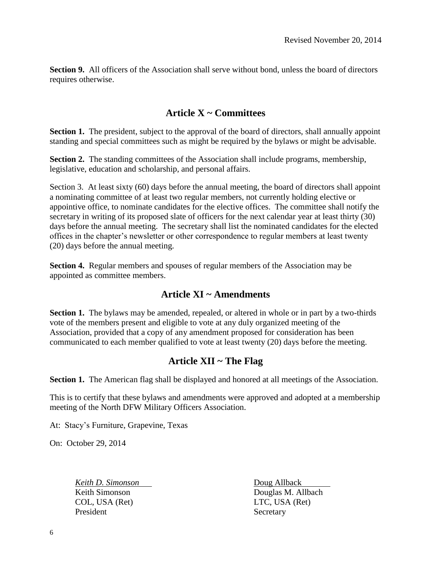**Section 9.** All officers of the Association shall serve without bond, unless the board of directors requires otherwise.

#### **Article X ~ Committees**

**Section 1.** The president, subject to the approval of the board of directors, shall annually appoint standing and special committees such as might be required by the bylaws or might be advisable.

**Section 2.** The standing committees of the Association shall include programs, membership, legislative, education and scholarship, and personal affairs.

Section 3. At least sixty (60) days before the annual meeting, the board of directors shall appoint a nominating committee of at least two regular members, not currently holding elective or appointive office, to nominate candidates for the elective offices. The committee shall notify the secretary in writing of its proposed slate of officers for the next calendar year at least thirty (30) days before the annual meeting. The secretary shall list the nominated candidates for the elected offices in the chapter's newsletter or other correspondence to regular members at least twenty (20) days before the annual meeting.

**Section 4.** Regular members and spouses of regular members of the Association may be appointed as committee members.

#### **Article XI ~ Amendments**

**Section 1.** The bylaws may be amended, repealed, or altered in whole or in part by a two-thirds vote of the members present and eligible to vote at any duly organized meeting of the Association, provided that a copy of any amendment proposed for consideration has been communicated to each member qualified to vote at least twenty (20) days before the meeting.

#### **Article XII ~ The Flag**

**Section 1.** The American flag shall be displayed and honored at all meetings of the Association.

This is to certify that these bylaws and amendments were approved and adopted at a membership meeting of the North DFW Military Officers Association.

At: Stacy's Furniture, Grapevine, Texas

On: October 29, 2014

*Keith D. Simonson* Doug Allback COL, USA (Ret) LTC, USA (Ret) President Secretary

Keith Simonson Douglas M. Allbach